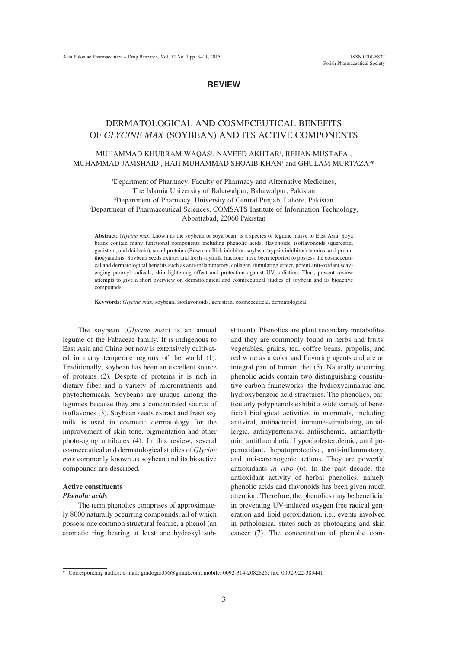# **REVIEW**

# DERMATOLOGICAL AND COSMECEUTICAL BENEFITS OF *GLYCINE MAX* (SOYBEAN) AND ITS ACTIVE COMPONENTS

# MUHAMMAD KHURRAM WAQAS', NAVEED AKHTAR', REHAN MUSTAFA', MUHAMMAD JAMSHAID<sup>2</sup>, HAJI MUHAMMAD SHOAIB KHAN<sup>1</sup> and GHULAM MURTAZA $^{3\ast}$

1 Department of Pharmacy, Faculty of Pharmacy and Alternative Medicines, The Islamia University of Bahawalpur, Bahawalpur, Pakistan 2 Department of Pharmacy, University of Central Punjab, Lahore, Pakistan 3 Department of Pharmaceutical Sciences, COMSATS Institute of Information Technology, Abbottabad, 22060 Pakistan

**Abstract:** *Glycine max*, known as the soybean or soya bean, is a species of legume native to East Asia. Soya beans contain many functional components including phenolic acids, flavonoids, isoflavonoids (quercetin, genistein, and daidzein), small proteins (Bowman-Birk inhibitor, soybean trypsin inhibitor) tannins, and proanthocyanidins. Soybean seeds extract and fresh soymilk fractions have been reported to possess the cosmeceutical and dermatological benefits such as anti-inflammatory, collagen stimulating effect, potent anti-oxidant scavenging peroxyl radicals, skin lightening effect and protection against UV radiation. Thus, present review attempts to give a short overview on dermatological and cosmeceutical studies of soybean and its bioactive compounds.

**Keywords**: *Glycine max*, soybean, isoflavonoids, genistein, cosmeceutical, dermatological

The soybean (*Glycine max*) is an annual legume of the Fabaceae family. It is indigenous to East Asia and China but now is extensively cultivated in many temperate regions of the world (1). Traditionally, soybean has been an excellent source of proteins (2). Despite of proteins it is rich in dietary fiber and a variety of micronutrients and phytochemicals. Soybeans are unique among the legumes because they are a concentrated source of isoflavones (3). Soybean seeds extract and fresh soy milk is used in cosmetic dermatology for the improvement of skin tone, pigmentation and other photo-aging attributes (4). In this review, several cosmeceutical and dermatological studies of *Glycine max* commonly known as soybean and its bioactive compounds are described.

## **Active constituents** *Phenolic acids*

The term phenolics comprises of approximately 8000 naturally occurring compounds, all of which possess one common structural feature, a phenol (an aromatic ring bearing at least one hydroxyl substituent). Phenolics are plant secondary metabolites and they are commonly found in herbs and fruits, vegetables, grains, tea, coffee beans, propolis, and red wine as a color and flavoring agents and are an integral part of human diet (5). Naturally occurring phenolic acids contain two distinguishing constitutive carbon frameworks: the hydroxycinnamic and hydroxybenzoic acid structures. The phenolics, particularly polyphenols exhibit a wide variety of beneficial biological activities in mammals, including antiviral, antibacterial, immune-stimulating, antiallergic, antihypertensive, antiischemic, antiarrhythmic, antithrombotic, hypocholesterolemic, antilipoperoxidant, hepatoprotective, anti-inflammatory, and anti-carcinogenic actions. They are powerful antioxidants *in vitro* (6). In the past decade, the antioxidant activity of herbal phenolics, namely phenolic acids and flavonoids has been given much attention. Therefore, the phenolics may be beneficial in preventing UV-induced oxygen free radical generation and lipid peroxidation, i.e., events involved in pathological states such as photoaging and skin cancer (7). The concentration of phenolic com-

<sup>\*</sup> Corresponding author: e-mail: gmdogar356@gmail.com; mobile: 0092-314-2082826; fax: 0092-922-383441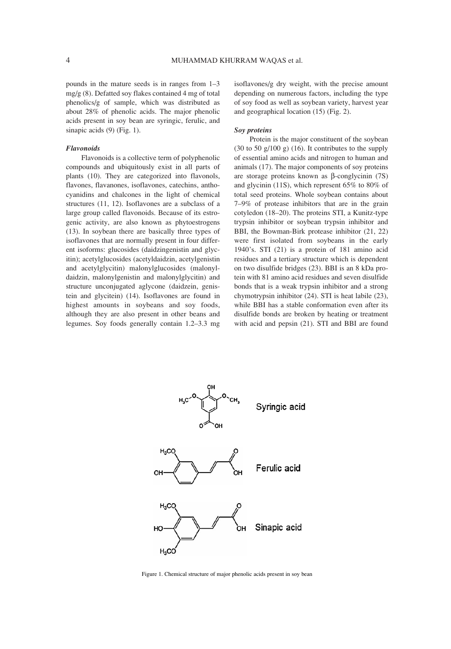pounds in the mature seeds is in ranges from  $1-3$ mg/g (8). Defatted soy flakes contained 4 mg of total phenolics/g of sample, which was distributed as about 28% of phenolic acids. The major phenolic acids present in soy bean are syringic, ferulic, and sinapic acids (9) (Fig. 1).

## *Flavonoids*

Flavonoids is a collective term of polyphenolic compounds and ubiquitously exist in all parts of plants (10). They are categorized into flavonols, flavones, flavanones, isoflavones, catechins, anthocyanidins and chalcones in the light of chemical structures (11, 12). Isoflavones are a subclass of a large group called flavonoids. Because of its estrogenic activity, are also known as phytoestrogens (13). In soybean there are basically three types of isoflavones that are normally present in four different isoforms: glucosides (daidzingenistin and glycitin); acetylglucosides (acetyldaidzin, acetylgenistin and acetylglycitin) malonylglucosides (malonyldaidzin, malonylgenistin and malonylglycitin) and structure unconjugated aglycone (daidzein, genistein and glycitein) (14). Isoflavones are found in highest amounts in soybeans and soy foods, although they are also present in other beans and legumes. Soy foods generally contain 1.2–3.3 mg isoflavones/g dry weight, with the precise amount depending on numerous factors, including the type of soy food as well as soybean variety, harvest year and geographical location (15) (Fig. 2).

#### *Soy proteins*

Protein is the major constituent of the soybean  $(30 \text{ to } 50 \text{ g}/100 \text{ g})$   $(16)$ . It contributes to the supply of essential amino acids and nitrogen to human and animals (17). The major components of soy proteins are storage proteins known as β-conglycinin (7S) and glycinin (11S), which represent 65% to 80% of total seed proteins. Whole soybean contains about  $7-9\%$  of protease inhibitors that are in the grain cotyledon (18–20). The proteins STI, a Kunitz-type trypsin inhibitor or soybean trypsin inhibitor and BBI, the Bowman-Birk protease inhibitor (21, 22) were first isolated from soybeans in the early 1940ís. STI (21) is a protein of 181 amino acid residues and a tertiary structure which is dependent on two disulfide bridges (23). BBI is an 8 kDa protein with 81 amino acid residues and seven disulfide bonds that is a weak trypsin inhibitor and a strong chymotrypsin inhibitor (24). STI is heat labile (23), while BBI has a stable conformation even after its disulfide bonds are broken by heating or treatment with acid and pepsin (21). STI and BBI are found



Figure 1. Chemical structure of major phenolic acids present in soy bean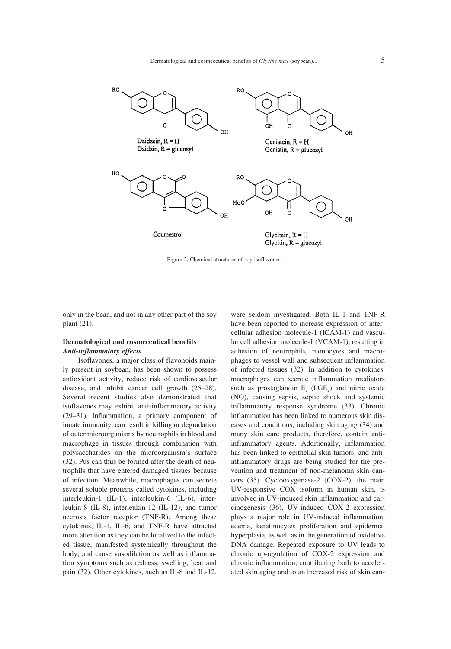

Figure 2. Chemical structures of soy isoflavones

only in the bean, and not in any other part of the soy plant (21).

# **Dermatological and cosmeceutical benefits** *Anti-inflammatory effects*

Isoflavones, a major class of flavonoids mainly present in soybean, has been shown to possess antioxidant activity, reduce risk of cardiovascular disease, and inhibit cancer cell growth  $(25-28)$ . Several recent studies also demonstrated that isoflavones may exhibit anti-inflammatory activity  $(29-31)$ . Inflammation, a primary component of innate immunity, can result in killing or degradation of outer microorganisms by neutrophils in blood and macrophage in tissues through combination with polysaccharides on the microorganism's surface (32). Pus can thus be formed after the death of neutrophils that have entered damaged tissues because of infection. Meanwhile, macrophages can secrete several soluble proteins called cytokines, including interleukin-1 (IL-1), interleukin-6 (IL-6), interleukin-8 (IL-8), interleukin-12 (IL-12), and tumor necrosis factor receptor (TNF-R). Among these cytokines, IL-1, IL-6, and TNF-R have attracted more attention as they can be localized to the infected tissue, manifested systemically throughout the body, and cause vasodilation as well as inflammation symptoms such as redness, swelling, heat and pain (32). Other cytokines, such as IL-8 and IL-12, were seldom investigated. Both IL-1 and TNF-R have been reported to increase expression of intercellular adhesion molecule-1 (ICAM-1) and vascular cell adhesion molecule-1 (VCAM-1), resulting in adhesion of neutrophils, monocytes and macrophages to vessel wall and subsequent inflammation of infected tissues (32). In addition to cytokines, macrophages can secrete inflammation mediators such as prostaglandin  $E_2$  (PGE<sub>2</sub>) and nitric oxide (NO), causing sepsis, septic shock and systemic inflammatory response syndrome (33). Chronic inflammation has been linked to numerous skin diseases and conditions, including skin aging (34) and many skin care products, therefore, contain antiinflammatory agents. Additionally, inflammation has been linked to epithelial skin-tumors, and antiinflammatory drugs are being studied for the prevention and treatment of non-melanoma skin cancers (35). Cyclooxygenase-2 (COX-2), the main UV-responsive COX isoform in human skin, is involved in UV-induced skin inflammation and carcinogenesis (36). UV-induced COX-2 expression plays a major role in UV-induced inflammation, edema, keratinocytes proliferation and epidermal hyperplasia, as well as in the generation of oxidative DNA damage. Repeated exposure to UV leads to chronic up-regulation of COX-2 expression and chronic inflammation, contributing both to accelerated skin aging and to an increased risk of skin can-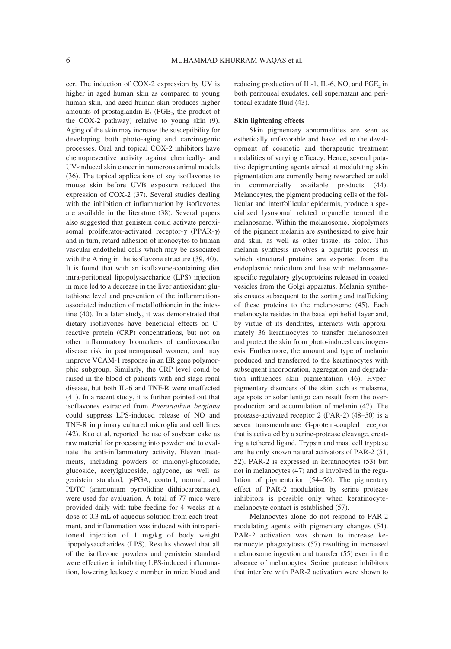cer. The induction of COX-2 expression by UV is higher in aged human skin as compared to young human skin, and aged human skin produces higher amounts of prostaglandin  $E<sub>2</sub>$  (PGE<sub>2</sub>, the product of the COX-2 pathway) relative to young skin (9). Aging of the skin may increase the susceptibility for developing both photo-aging and carcinogenic processes. Oral and topical COX-2 inhibitors have chemopreventive activity against chemically- and UV-induced skin cancer in numerous animal models (36). The topical applications of soy isoflavones to mouse skin before UVB exposure reduced the expression of COX-2 (37). Several studies dealing with the inhibition of inflammation by isoflavones are available in the literature (38). Several papers also suggested that genistein could activate peroxisomal proliferator-activated receptor-γ (PPAR-γ) and in turn, retard adhesion of monocytes to human vascular endothelial cells which may be associated with the A ring in the isoflavone structure (39, 40). It is found that with an isoflavone-containing diet intra-peritoneal lipopolysaccharide (LPS) injection in mice led to a decrease in the liver antioxidant glutathione level and prevention of the inflammationassociated induction of metallothionein in the intestine (40). In a later study, it was demonstrated that dietary isoflavones have beneficial effects on Creactive protein (CRP) concentrations, but not on other inflammatory biomarkers of cardiovascular disease risk in postmenopausal women, and may improve VCAM-1 response in an ER gene polymorphic subgroup. Similarly, the CRP level could be raised in the blood of patients with end-stage renal disease, but both IL-6 and TNF-R were unaffected (41). In a recent study, it is further pointed out that isoflavones extracted from *Puerariathun bergiana* could suppress LPS-induced release of NO and TNF-R in primary cultured microglia and cell lines (42). Kao et al. reported the use of soybean cake as raw material for processing into powder and to evaluate the anti-inflammatory activity. Eleven treatments, including powders of malonyl-glucoside, glucoside, acetylglucoside, aglycone, as well as genistein standard, γ-PGA, control, normal, and PDTC (ammonium pyrrolidine dithiocarbamate), were used for evaluation. A total of 77 mice were provided daily with tube feeding for 4 weeks at a dose of 0.3 mL of aqueous solution from each treatment, and inflammation was induced with intraperitoneal injection of 1 mg/kg of body weight lipopolysaccharides (LPS). Results showed that all of the isoflavone powders and genistein standard were effective in inhibiting LPS-induced inflammation, lowering leukocyte number in mice blood and

reducing production of IL-1, IL-6, NO, and PGE, in both peritoneal exudates, cell supernatant and peritoneal exudate fluid (43).

## **Skin lightening effects**

Skin pigmentary abnormalities are seen as esthetically unfavorable and have led to the development of cosmetic and therapeutic treatment modalities of varying efficacy. Hence, several putative depigmenting agents aimed at modulating skin pigmentation are currently being researched or sold in commercially available products (44). Melanocytes, the pigment producing cells of the follicular and interfollicular epidermis, produce a specialized lysosomal related organelle termed the melanosome. Within the melanosome, biopolymers of the pigment melanin are synthesized to give hair and skin, as well as other tissue, its color. This melanin synthesis involves a bipartite process in which structural proteins are exported from the endoplasmic reticulum and fuse with melanosomespecific regulatory glycoproteins released in coated vesicles from the Golgi apparatus. Melanin synthesis ensues subsequent to the sorting and trafficking of these proteins to the melanosome (45). Each melanocyte resides in the basal epithelial layer and, by virtue of its dendrites, interacts with approximately 36 keratinocytes to transfer melanosomes and protect the skin from photo-induced carcinogenesis. Furthermore, the amount and type of melanin produced and transferred to the keratinocytes with subsequent incorporation, aggregation and degradation influences skin pigmentation (46). Hyperpigmentary disorders of the skin such as melasma, age spots or solar lentigo can result from the overproduction and accumulation of melanin (47). The protease-activated receptor  $2$  (PAR-2) (48–50) is a seven transmembrane G-protein-coupled receptor that is activated by a serine-protease cleavage, creating a tethered ligand. Trypsin and mast cell tryptase are the only known natural activators of PAR-2 (51, 52). PAR-2 is expressed in keratinocytes (53) but not in melanocytes (47) and is involved in the regulation of pigmentation  $(54–56)$ . The pigmentary effect of PAR-2 modulation by serine protease inhibitors is possible only when keratinocytemelanocyte contact is established (57).

Melanocytes alone do not respond to PAR-2 modulating agents with pigmentary changes (54). PAR-2 activation was shown to increase keratinocyte phagocytosis (57) resulting in increased melanosome ingestion and transfer (55) even in the absence of melanocytes. Serine protease inhibitors that interfere with PAR-2 activation were shown to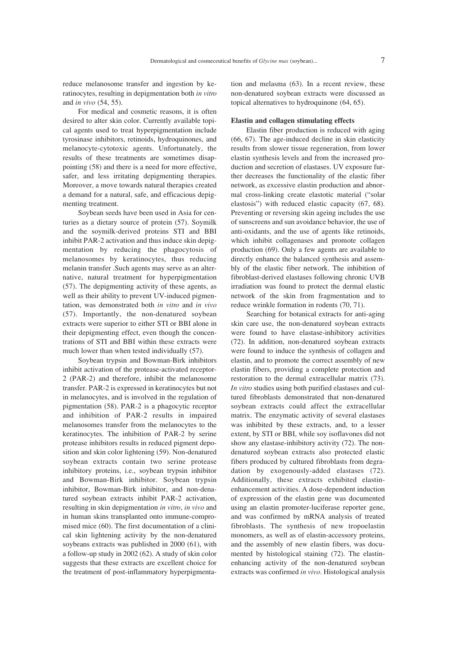reduce melanosome transfer and ingestion by keratinocytes, resulting in depigmentation both *in vitro* and *in vivo* (54, 55).

For medical and cosmetic reasons, it is often desired to alter skin color. Currently available topical agents used to treat hyperpigmentation include tyrosinase inhibitors, retinoids, hydroquinones, and melanocyte-cytotoxic agents. Unfortunately, the results of these treatments are sometimes disappointing (58) and there is a need for more effective, safer, and less irritating depigmenting therapies. Moreover, a move towards natural therapies created a demand for a natural, safe, and efficacious depigmenting treatment.

Soybean seeds have been used in Asia for centuries as a dietary source of protein (57). Soymilk and the soymilk-derived proteins STI and BBI inhibit PAR-2 activation and thus induce skin depigmentation by reducing the phagocytosis of melanosomes by keratinocytes, thus reducing melanin transfer .Such agents may serve as an alternative, natural treatment for hyperpigmentation (57). The depigmenting activity of these agents, as well as their ability to prevent UV-induced pigmentation, was demonstrated both *in vitro* and *in vivo* (57). Importantly, the non-denatured soybean extracts were superior to either STI or BBI alone in their depigmenting effect, even though the concentrations of STI and BBI within these extracts were much lower than when tested individually (57).

Soybean trypsin and Bowman-Birk inhibitors inhibit activation of the protease-activated receptor-2 (PAR-2) and therefore, inhibit the melanosome transfer. PAR-2 is expressed in keratinocytes but not in melanocytes, and is involved in the regulation of pigmentation (58). PAR-2 is a phagocytic receptor and inhibition of PAR-2 results in impaired melanosomes transfer from the melanocytes to the keratinocytes. The inhibition of PAR-2 by serine protease inhibitors results in reduced pigment deposition and skin color lightening (59). Non-denatured soybean extracts contain two serine protease inhibitory proteins, i.e., soybean trypsin inhibitor and Bowman-Birk inhibitor. Soybean trypsin inhibitor, Bowman-Birk inhibitor, and non-denatured soybean extracts inhibit PAR-2 activation, resulting in skin depigmentation *in vitro*, *in vivo* and in human skins transplanted onto immune-compromised mice (60). The first documentation of a clinical skin lightening activity by the non-denatured soybeans extracts was published in 2000 (61), with a follow-up study in 2002 (62). A study of skin color suggests that these extracts are excellent choice for the treatment of post-inflammatory hyperpigmentation and melasma (63). In a recent review, these non-denatured soybean extracts were discussed as topical alternatives to hydroquinone (64, 65).

#### **Elastin and collagen stimulating effects**

Elastin fiber production is reduced with aging (66, 67). The age-induced decline in skin elasticity results from slower tissue regeneration, from lower elastin synthesis levels and from the increased production and secretion of elastases. UV exposure further decreases the functionality of the elastic fiber network, as excessive elastin production and abnormal cross-linking create elastotic material ("solar elastosis") with reduced elastic capacity (67, 68). Preventing or reversing skin ageing includes the use of sunscreens and sun avoidance behavior, the use of anti-oxidants, and the use of agents like retinoids, which inhibit collagenases and promote collagen production (69). Only a few agents are available to directly enhance the balanced synthesis and assembly of the elastic fiber network. The inhibition of fibroblast-derived elastases following chronic UVB irradiation was found to protect the dermal elastic network of the skin from fragmentation and to reduce wrinkle formation in rodents (70, 71).

Searching for botanical extracts for anti-aging skin care use, the non-denatured soybean extracts were found to have elastase-inhibitory activities (72). In addition, non-denatured soybean extracts were found to induce the synthesis of collagen and elastin, and to promote the correct assembly of new elastin fibers, providing a complete protection and restoration to the dermal extracellular matrix (73). *In vitro* studies using both purified elastases and cultured fibroblasts demonstrated that non-denatured soybean extracts could affect the extracellular matrix. The enzymatic activity of several elastases was inhibited by these extracts, and, to a lesser extent, by STI or BBI, while soy isoflavones did not show any elastase-inhibitory activity (72). The nondenatured soybean extracts also protected elastic fibers produced by cultured fibroblasts from degradation by exogenously-added elastases (72). Additionally, these extracts exhibited elastinenhancement activities. A dose-dependent induction of expression of the elastin gene was documented using an elastin promoter-luciferase reporter gene, and was confirmed by mRNA analysis of treated fibroblasts. The synthesis of new tropoelastin monomers, as well as of elastin-accessory proteins, and the assembly of new elastin fibers, was documented by histological staining (72). The elastinenhancing activity of the non-denatured soybean extracts was confirmed *in vivo*. Histological analysis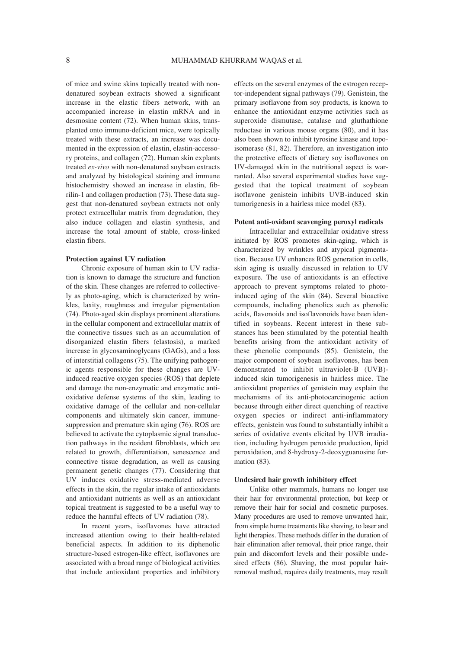of mice and swine skins topically treated with nondenatured soybean extracts showed a significant increase in the elastic fibers network, with an accompanied increase in elastin mRNA and in desmosine content (72). When human skins, transplanted onto immuno-deficient mice, were topically treated with these extracts, an increase was documented in the expression of elastin, elastin-accessory proteins, and collagen (72). Human skin explants treated *ex-vivo* with non-denatured soybean extracts and analyzed by histological staining and immune histochemistry showed an increase in elastin, fibrilin-1 and collagen production (73). These data suggest that non-denatured soybean extracts not only protect extracellular matrix from degradation, they also induce collagen and elastin synthesis, and increase the total amount of stable, cross-linked elastin fibers.

#### **Protection against UV radiation**

Chronic exposure of human skin to UV radiation is known to damage the structure and function of the skin. These changes are referred to collectively as photo-aging, which is characterized by wrinkles, laxity, roughness and irregular pigmentation (74). Photo-aged skin displays prominent alterations in the cellular component and extracellular matrix of the connective tissues such as an accumulation of disorganized elastin fibers (elastosis), a marked increase in glycosaminoglycans (GAGs), and a loss of interstitial collagens (75). The unifying pathogenic agents responsible for these changes are UVinduced reactive oxygen species (ROS) that deplete and damage the non-enzymatic and enzymatic antioxidative defense systems of the skin, leading to oxidative damage of the cellular and non-cellular components and ultimately skin cancer, immunesuppression and premature skin aging (76). ROS are believed to activate the cytoplasmic signal transduction pathways in the resident fibroblasts, which are related to growth, differentiation, senescence and connective tissue degradation, as well as causing permanent genetic changes (77). Considering that UV induces oxidative stress-mediated adverse effects in the skin, the regular intake of antioxidants and antioxidant nutrients as well as an antioxidant topical treatment is suggested to be a useful way to reduce the harmful effects of UV radiation (78).

In recent years, isoflavones have attracted increased attention owing to their health-related beneficial aspects. In addition to its diphenolic structure-based estrogen-like effect, isoflavones are associated with a broad range of biological activities that include antioxidant properties and inhibitory

effects on the several enzymes of the estrogen receptor-independent signal pathways (79). Genistein, the primary isoflavone from soy products, is known to enhance the antioxidant enzyme activities such as superoxide dismutase, catalase and gluthathione reductase in various mouse organs (80), and it has also been shown to inhibit tyrosine kinase and topoisomerase (81, 82). Therefore, an investigation into the protective effects of dietary soy isoflavones on UV-damaged skin in the nutritional aspect is warranted. Also several experimental studies have suggested that the topical treatment of soybean isoflavone genistein inhibits UVB-induced skin tumorigenesis in a hairless mice model (83).

#### **Potent anti-oxidant scavenging peroxyl radicals**

Intracellular and extracellular oxidative stress initiated by ROS promotes skin-aging, which is characterized by wrinkles and atypical pigmentation. Because UV enhances ROS generation in cells, skin aging is usually discussed in relation to UV exposure. The use of antioxidants is an effective approach to prevent symptoms related to photoinduced aging of the skin (84). Several bioactive compounds, including phenolics such as phenolic acids, flavonoids and isoflavonoids have been identified in soybeans. Recent interest in these substances has been stimulated by the potential health benefits arising from the antioxidant activity of these phenolic compounds (85). Genistein, the major component of soybean isoflavones, has been demonstrated to inhibit ultraviolet-B (UVB) induced skin tumorigenesis in hairless mice. The antioxidant properties of genistein may explain the mechanisms of its anti-photocarcinogenic action because through either direct quenching of reactive oxygen species or indirect anti-inflammatory effects, genistein was found to substantially inhibit a series of oxidative events elicited by UVB irradiation, including hydrogen peroxide production, lipid peroxidation, and 8-hydroxy-2-deoxyguanosine formation (83).

## **Undesired hair growth inhibitory effect**

Unlike other mammals, humans no longer use their hair for environmental protection, but keep or remove their hair for social and cosmetic purposes. Many procedures are used to remove unwanted hair, from simple home treatments like shaving, to laser and light therapies. These methods differ in the duration of hair elimination after removal, their price range, their pain and discomfort levels and their possible undesired effects (86). Shaving, the most popular hairremoval method, requires daily treatments, may result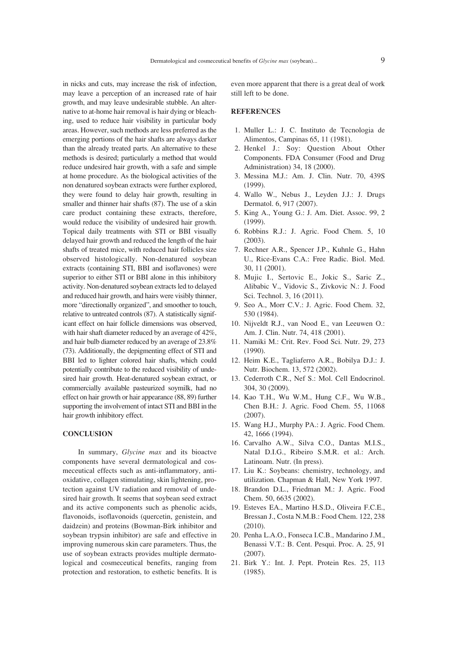in nicks and cuts, may increase the risk of infection, may leave a perception of an increased rate of hair growth, and may leave undesirable stubble. An alternative to at-home hair removal is hair dying or bleaching, used to reduce hair visibility in particular body areas. However, such methods are less preferred as the emerging portions of the hair shafts are always darker than the already treated parts. An alternative to these methods is desired; particularly a method that would reduce undesired hair growth, with a safe and simple at home procedure. As the biological activities of the non denatured soybean extracts were further explored, they were found to delay hair growth, resulting in smaller and thinner hair shafts (87). The use of a skin care product containing these extracts, therefore, would reduce the visibility of undesired hair growth. Topical daily treatments with STI or BBI visually delayed hair growth and reduced the length of the hair shafts of treated mice, with reduced hair follicles size observed histologically. Non-denatured soybean extracts (containing STI, BBI and isoflavones) were superior to either STI or BBI alone in this inhibitory activity. Non-denatured soybean extracts led to delayed and reduced hair growth, and hairs were visibly thinner, more "directionally organized", and smoother to touch, relative to untreated controls (87). A statistically significant effect on hair follicle dimensions was observed, with hair shaft diameter reduced by an average of 42%, and hair bulb diameter reduced by an average of 23.8% (73). Additionally, the depigmenting effect of STI and BBI led to lighter colored hair shafts, which could potentially contribute to the reduced visibility of undesired hair growth. Heat-denatured soybean extract, or commercially available pasteurized soymilk, had no effect on hair growth or hair appearance (88, 89) further supporting the involvement of intact STI and BBI in the hair growth inhibitory effect.

## **CONCLUSION**

In summary, *Glycine max* and its bioactve components have several dermatological and cosmeceutical effects such as anti-inflammatory, antioxidative, collagen stimulating, skin lightening, protection against UV radiation and removal of undesired hair growth. It seems that soybean seed extract and its active components such as phenolic acids, flavonoids, isoflavonoids (quercetin, genistein, and daidzein) and proteins (Bowman-Birk inhibitor and soybean trypsin inhibitor) are safe and effective in improving numerous skin care parameters. Thus, the use of soybean extracts provides multiple dermatological and cosmeceutical benefits, ranging from protection and restoration, to esthetic benefits. It is

even more apparent that there is a great deal of work still left to be done.

# **REFERENCES**

- 1. Muller L.: J. C. Instituto de Tecnologia de Alimentos, Campinas 65, 11 (1981).
- 2. Henkel J.: Soy: Question About Other Components. FDA Consumer (Food and Drug Administration) 34, 18 (2000).
- 3. Messina M.J.: Am. J. Clin. Nutr. 70, 439S (1999).
- 4. Wallo W., Nebus J., Leyden J.J.: J. Drugs Dermatol. 6, 917 (2007).
- 5. King A., Young G.: J. Am. Diet. Assoc. 99, 2 (1999).
- 6. Robbins R.J.: J. Agric. Food Chem. 5, 10 (2003).
- 7. Rechner A.R., Spencer J.P., Kuhnle G., Hahn U., Rice-Evans C.A.: Free Radic. Biol. Med. 30, 11 (2001).
- 8. Mujic I., Sertovic E., Jokic S., Saric Z., Alibabic V., Vidovic S., Zivkovic N.: J. Food Sci. Technol. 3, 16 (2011).
- 9. Seo A., Morr C.V.: J. Agric. Food Chem. 32, 530 (1984).
- 10. Nijveldt R.J., van Nood E., van Leeuwen O.: Am. J. Clin. Nutr. 74, 418 (2001).
- 11. Namiki M.: Crit. Rev. Food Sci. Nutr. 29, 273 (1990).
- 12. Heim K.E., Tagliaferro A.R., Bobilya D.J.: J. Nutr. Biochem. 13, 572 (2002).
- 13. Cederroth C.R., Nef S.: Mol. Cell Endocrinol. 304, 30 (2009).
- 14. Kao T.H., Wu W.M., Hung C.F., Wu W.B., Chen B.H.: J. Agric. Food Chem. 55, 11068 (2007).
- 15. Wang H.J., Murphy PA.: J. Agric. Food Chem. 42, 1666 (1994).
- 16. Carvalho A.W., Silva C.O., Dantas M.I.S., Natal D.I.G., Ribeiro S.M.R. et al.: Arch. Latinoam. Nutr. (In press).
- 17. Liu K.: Soybeans: chemistry, technology, and utilization. Chapman & Hall, New York 1997.
- 18. Brandon D.L., Friedman M.: J. Agric. Food Chem. 50, 6635 (2002).
- 19. Esteves EA., Martino H.S.D., Oliveira F.C.E., Bressan J., Costa N.M.B.: Food Chem. 122, 238 (2010).
- 20. Penha L.A.O., Fonseca I.C.B., Mandarino J.M., Benassi V.T.: B. Cent. Pesqui. Proc. A. 25, 91 (2007).
- 21. Birk Y.: Int. J. Pept. Protein Res. 25, 113 (1985).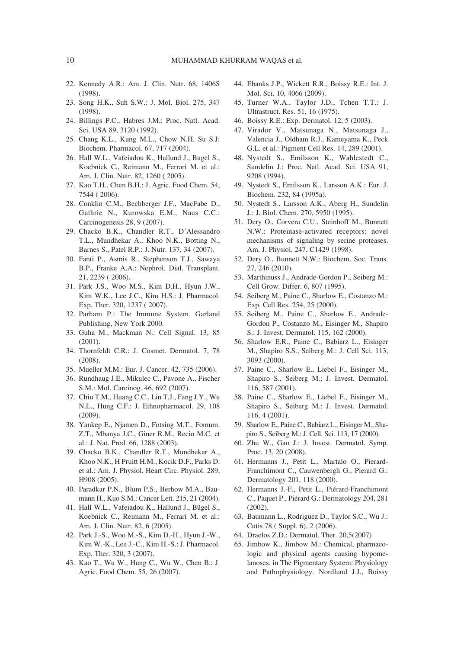- 22. Kennedy A.R.: Am. J. Clin. Nutr. 68, 1406S (1998).
- 23. Song H.K., Suh S.W.: J. Mol. Biol. 275, 347 (1998).
- 24. Billings P.C., Habres J.M.: Proc. Natl. Acad. Sci. USA 89, 3120 (1992).
- 25. Chang K.L., Kung M.L., Chow N.H. Su S.J: Biochem. Pharmacol. 67, 717 (2004).
- 26. Hall W.L., Vafeiadou K., Hallund J., Bugel S., Koebnick C., Reimann M., Ferrari M. et al.: Am. J. Clin. Nutr. 82, 1260 ( 2005).
- 27. Kao T.H., Chen B.H.: J. Agric. Food Chem. 54, 7544 ( 2006).
- 28. Conklin C.M., Bechberger J.F., MacFabe D., Guthrie N., Kurowska E.M., Naus C.C.: Carcinogenesis 28, 9 (2007).
- 29. Chacko B.K., Chandler R.T., D'Alessandro T.L., Mundhekar A., Khoo N.K., Botting N., Barnes S., Patel R.P.: J. Nutr. 137, 34 (2007).
- 30. Fanti P., Asmis R., Stephenson T.J., Sawaya B.P., Franke A.A.: Nephrol. Dial. Transplant. 21, 2239 ( 2006).
- 31. Park J.S., Woo M.S., Kim D.H., Hyun J.W., Kim W.K., Lee J.C., Kim H.S.: J. Pharmacol. Exp. Ther. 320, 1237 ( 2007).
- 32. Parham P.: The Immune System. Garland Publishing, New York 2000.
- 33. Guha M., Mackman N.: Cell Signal. 13, 85 (2001).
- 34. Thornfeldt C.R.: J. Cosmet. Dermatol. 7, 78 (2008).
- 35. Mueller M.M.: Eur. J. Cancer. 42, 735 (2006).
- 36. Rundhaug J.E., Mikulec C., Pavone A., Fischer S.M.: Mol. Carcinog. 46, 692 (2007).
- 37. Chiu T.M., Huang C.C., Lin T.J., Fang J.Y., Wu N.L., Hung C.F.: J. Ethnopharmacol. 29, 108 (2009).
- 38. Yankep E., Njamen D., Fotsing M.T., Fomum. Z.T., Mbanya J.C., Giner R.M., Recio M.C. et al.: J. Nat. Prod. 66, 1288 (2003).
- 39. Chacko B.K., Chandler R.T., Mundhekar A., Khoo N.K., H Pruitt H.M., Kocik D.F., Parks D. et al.: Am. J. Physiol. Heart Circ. Physiol. 289, H908 (2005).
- 40. Paradkar P.N., Blum P.S., Berhow M.A., Baumann H., Kuo S.M.: Cancer Lett. 215, 21 (2004).
- 41. Hall W.L., Vafeiadou K., Hallund J., Bügel S., Koebnick C., Reimann M., Ferrari M. et al.: Am. J. Clin. Nutr. 82, 6 (2005).
- 42. Park J.-S., Woo M.-S., Kim D.-H., Hyun J.-W., Kim W.-K., Lee J.-C., Kim H.-S.: J. Pharmacol. Exp. Ther. 320, 3 (2007).
- 43. Kao T., Wu W., Hung C., Wu W., Chen B.: J. Agric. Food Chem. 55, 26 (2007).
- 44. Ebanks J.P., Wickett R.R., Boissy R.E.: Int. J. Mol. Sci. 10, 4066 (2009).
- 45. Turner W.A., Taylor J.D., Tchen T.T.: J. Ultrastruct. Res. 51, 16 (1975).
- 46. Boissy R.E.: Exp. Dermatol. 12, 5 (2003).
- 47. Virador V., Matsunaga N., Matsunaga J., Valencia J., Oldham R.J., Kameyama K., Peck G.L. et al.: Pigment Cell Res. 14, 289 (2001).
- 48. Nystedt S., Emilsson K., Wahlestedt C., Sundelin J.: Proc. Natl. Acad. Sci. USA 91, 9208 (1994).
- 49. Nystedt S., Emilsson K., Larsson A.K.: Eur. J. Biochem. 232, 84 (1995a).
- 50. Nystedt S., Larsson A.K., Aberg H., Sundelin J.: J. Biol. Chem. 270, 5950 (1995).
- 51. Dery O., Corvera C.U., Steinhoff M., Bunnett N.W.: Proteinase-activated receptors: novel mechanisms of signaling by serine proteases. Am. J. Physiol. 247, C1429 (1998).
- 52. Dery O., Bunnett N.W.: Biochem. Soc. Trans. 27, 246 (2010).
- 53. Marthinuss J., Andrade-Gordon P., Seiberg M.: Cell Grow. Differ. 6, 807 (1995).
- 54. Seiberg M., Paine C., Sharlow E., Costanzo M.: Exp. Cell Res. 254, 25 (2000).
- 55. Seiberg M., Paine C., Sharlow E., Andrade-Gordon P., Costanzo M., Eisinger M., Shapiro S.: J. Invest. Dermatol. 115, 162 (2000).
- 56. Sharlow E.R., Paine C., Babiarz L., Eisinger M., Shapiro S.S., Seiberg M.: J. Cell Sci. 113, 3093 (2000).
- 57. Paine C., Sharlow E., Liebel F., Eisinger M., Shapiro S., Seiberg M.: J. Invest. Dermatol. 116, 587 (2001).
- 58. Paine C., Sharlow E., Liebel F., Eisinger M., Shapiro S., Seiberg M.: J. Invest. Dermatol. 116, 4 (2001).
- 59. Sharlow E., Paine C., Babiarz L., Eisinger M., Shapiro S., Seiberg M.: J. Cell. Sci. 113, 17 (2000).
- 60. Zhu W., Gao J.: J. Invest. Dermatol. Symp. Proc. 13, 20 (2008).
- 61. Hermanns J., Petit L., Martalo O., Pierard-Franchimont C., Cauwenbergh G., Pierard G.: Dermatology 201, 118 (2000).
- 62. Hermanns J.-F., Petit L., Piérard-Franchimont C., Paquet P., Piérard G.: Dermatology 204, 281 (2002).
- 63. Baumann L., Rodriguez D., Taylor S.C., Wu J.: Cutis 78 ( Suppl. 6), 2 (2006).
- 64. Draelos Z.D.: Dermatol. Ther. 20,5(2007)
- 65. Jimbow K., Jimbow M.: Chemical, pharmacologic and physical agents causing hypomelanoses. in The Pigmentary System: Physiology and Pathophysiology. Nordlund J.J., Boissy